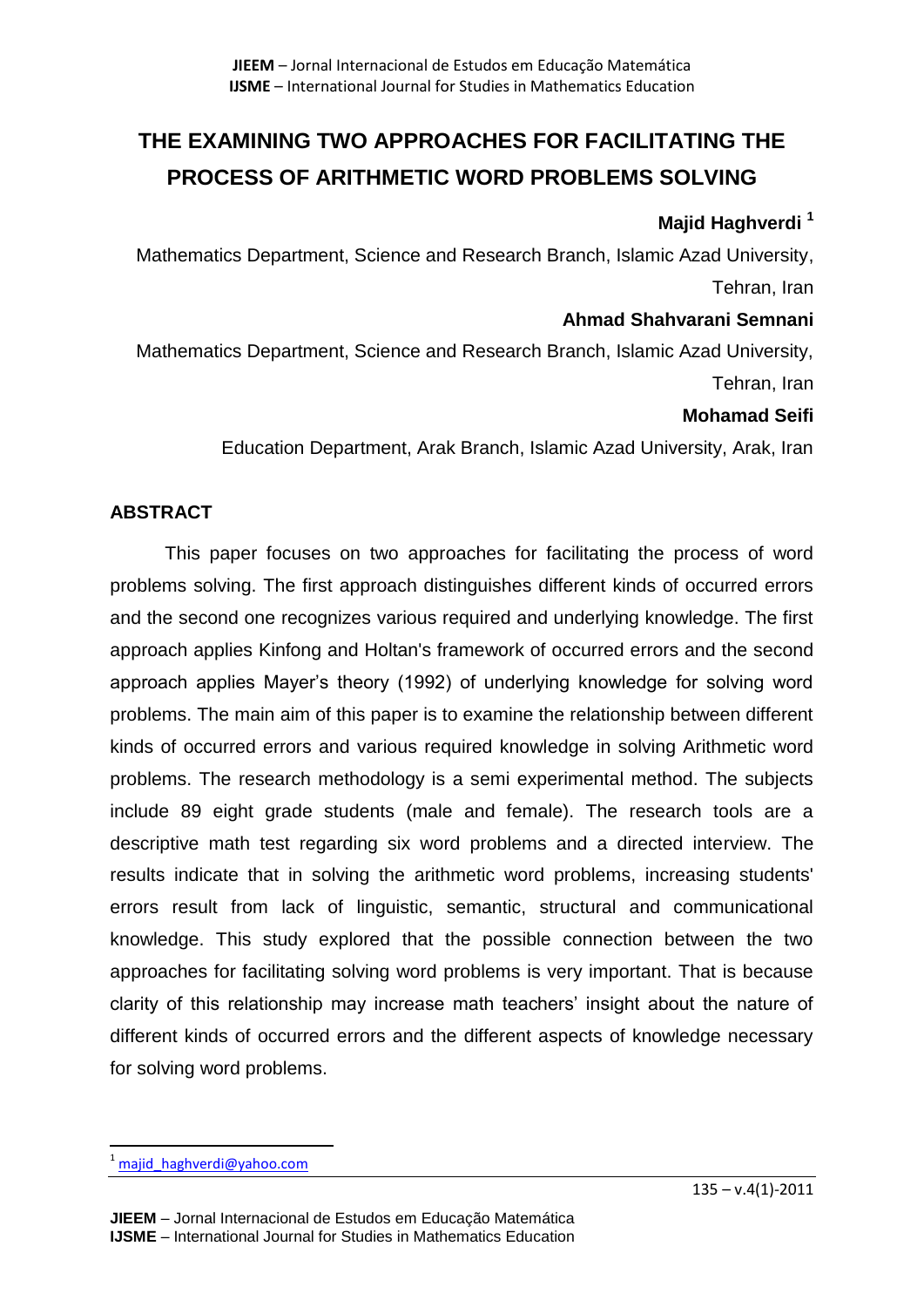# **THE EXAMINING TWO APPROACHES FOR FACILITATING THE PROCESS OF ARITHMETIC WORD PROBLEMS SOLVING**

# **Majid Haghverdi <sup>1</sup>**

Mathematics Department, Science and Research Branch, Islamic Azad University, Tehran, Iran

# **Ahmad Shahvarani Semnani**

Mathematics Department, Science and Research Branch, Islamic Azad University, Tehran, Iran

# **Mohamad Seifi**

Education Department, Arak Branch, Islamic Azad University, Arak, Iran

# **ABSTRACT**

This paper focuses on two approaches for facilitating the process of word problems solving. The first approach distinguishes different kinds of occurred errors and the second one recognizes various required and underlying knowledge. The first approach applies Kinfong and Holtan's framework of occurred errors and the second approach applies Mayer's theory (1992) of underlying knowledge for solving word problems. The main aim of this paper is to examine the relationship between different kinds of occurred errors and various required knowledge in solving Arithmetic word problems. The research methodology is a semi experimental method. The subjects include 89 eight grade students (male and female). The research tools are a descriptive math test regarding six word problems and a directed interview. The results indicate that in solving the arithmetic word problems, increasing students' errors result from lack of linguistic, semantic, structural and communicational knowledge. This study explored that the possible connection between the two approaches for facilitating solving word problems is very important. That is because clarity of this relationship may increase math teachers' insight about the nature of different kinds of occurred errors and the different aspects of knowledge necessary for solving word problems.

 $\overline{\phantom{a}}$ 

 $1$  majid haghverdi@yahoo.com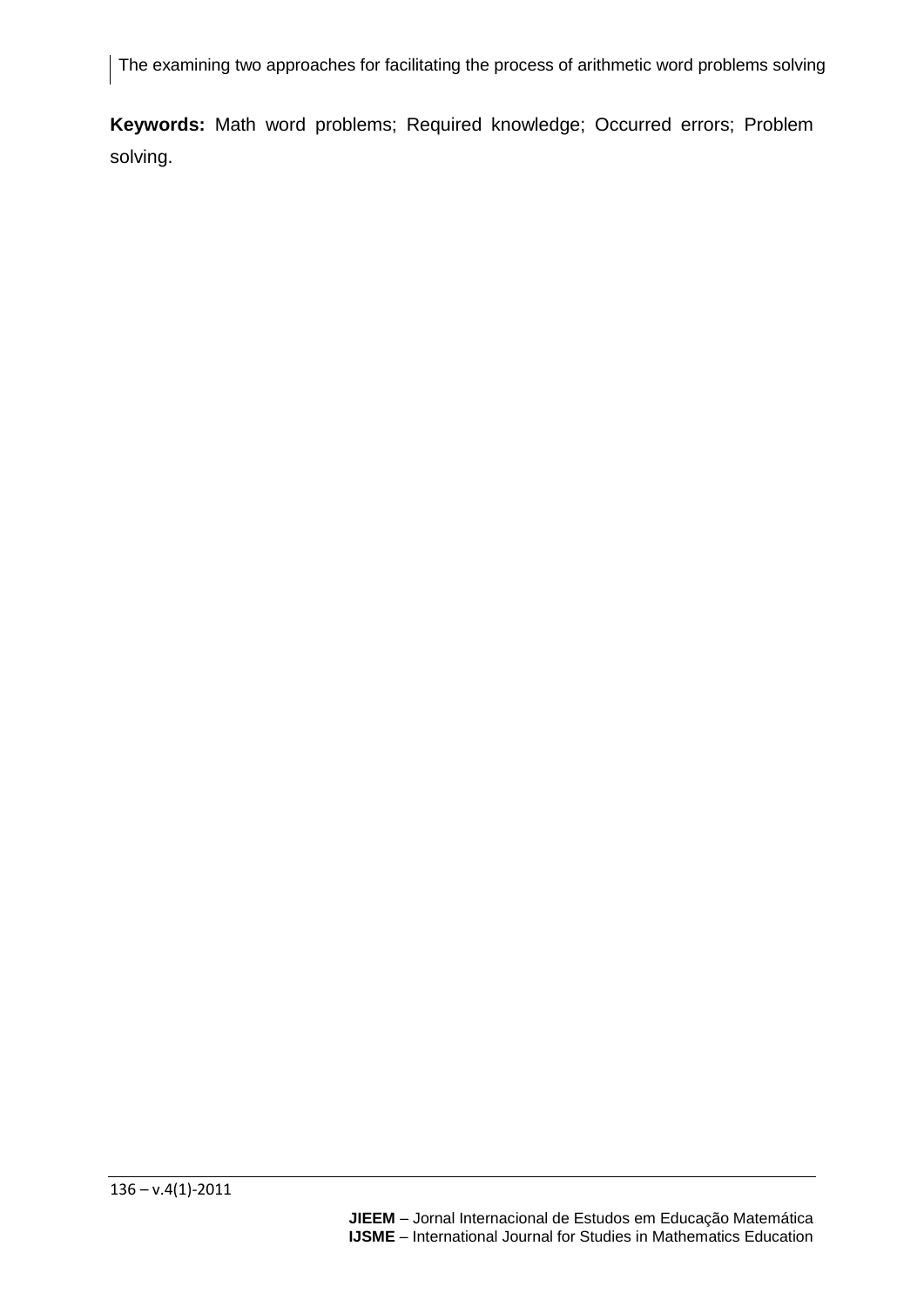**Keywords:** Math word problems; Required knowledge; Occurred errors; Problem solving.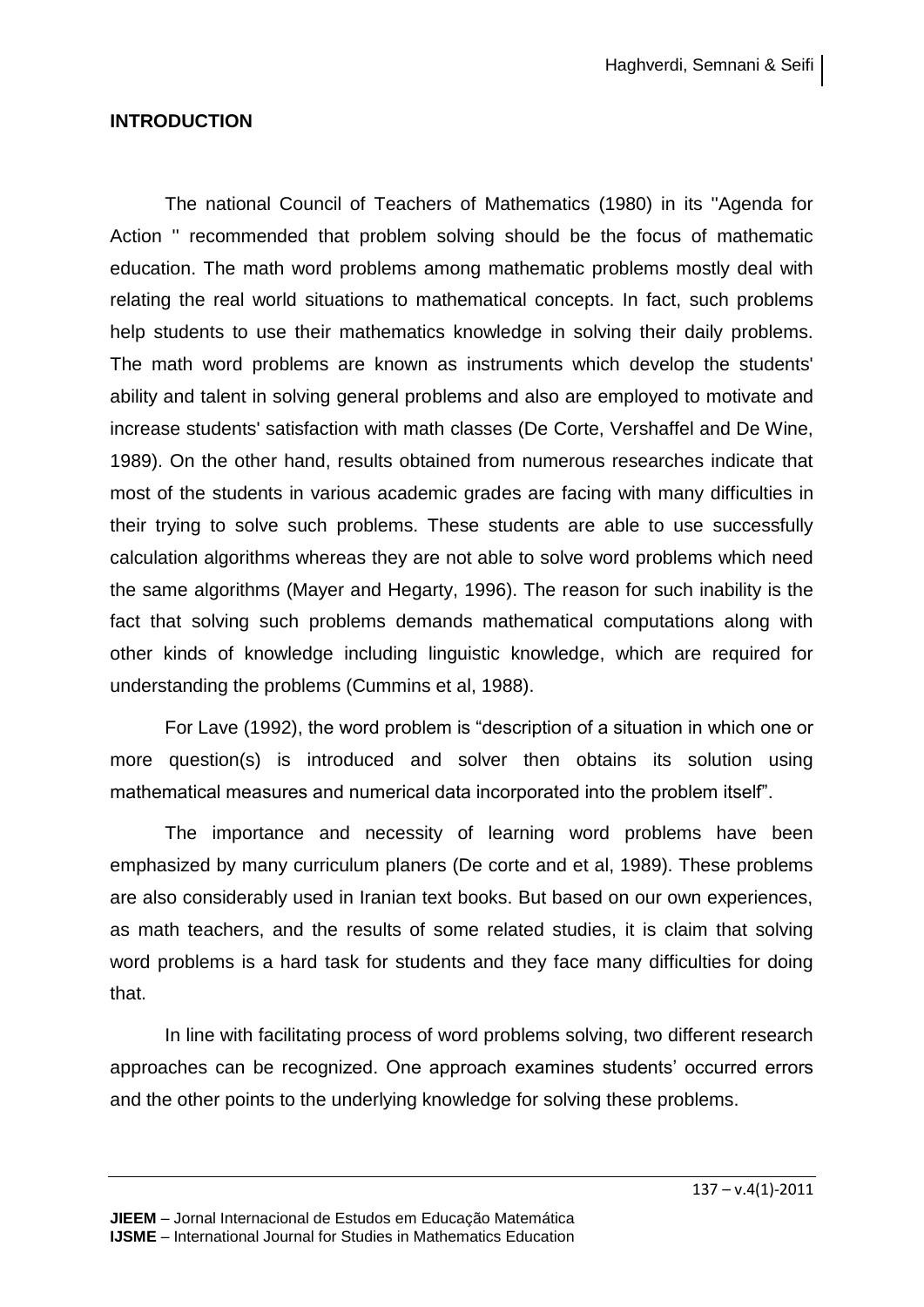### **INTRODUCTION**

The national Council of Teachers of Mathematics (1980) in its ''Agenda for Action '' recommended that problem solving should be the focus of mathematic education. The math word problems among mathematic problems mostly deal with relating the real world situations to mathematical concepts. In fact, such problems help students to use their mathematics knowledge in solving their daily problems. The math word problems are known as instruments which develop the students' ability and talent in solving general problems and also are employed to motivate and increase students' satisfaction with math classes (De Corte, Vershaffel and De Wine, 1989). On the other hand, results obtained from numerous researches indicate that most of the students in various academic grades are facing with many difficulties in their trying to solve such problems. These students are able to use successfully calculation algorithms whereas they are not able to solve word problems which need the same algorithms (Mayer and Hegarty, 1996). The reason for such inability is the fact that solving such problems demands mathematical computations along with other kinds of knowledge including linguistic knowledge, which are required for understanding the problems (Cummins et al, 1988).

For Lave (1992), the word problem is "description of a situation in which one or more question(s) is introduced and solver then obtains its solution using mathematical measures and numerical data incorporated into the problem itself".

The importance and necessity of learning word problems have been emphasized by many curriculum planers (De corte and et al, 1989). These problems are also considerably used in Iranian text books. But based on our own experiences, as math teachers, and the results of some related studies, it is claim that solving word problems is a hard task for students and they face many difficulties for doing that.

In line with facilitating process of word problems solving, two different research approaches can be recognized. One approach examines students' occurred errors and the other points to the underlying knowledge for solving these problems.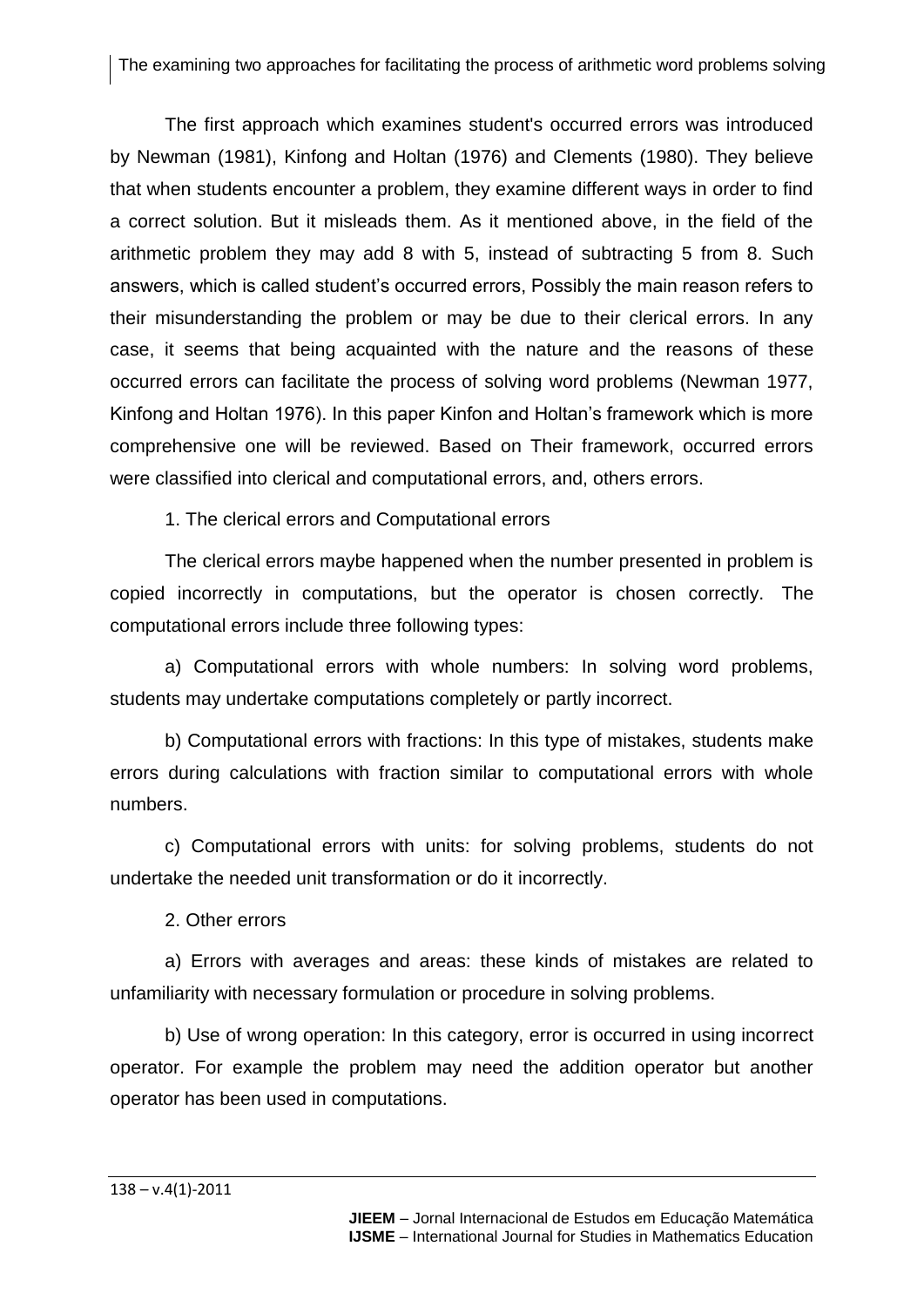The first approach which examines student's occurred errors was introduced by Newman (1981), Kinfong and Holtan (1976) and Clements (1980). They believe that when students encounter a problem, they examine different ways in order to find a correct solution. But it misleads them. As it mentioned above, in the field of the arithmetic problem they may add 8 with 5, instead of subtracting 5 from 8. Such answers, which is called student's occurred errors, Possibly the main reason refers to their misunderstanding the problem or may be due to their clerical errors. In any case, it seems that being acquainted with the nature and the reasons of these occurred errors can facilitate the process of solving word problems (Newman 1977, Kinfong and Holtan 1976). In this paper Kinfon and Holtan's framework which is more comprehensive one will be reviewed. Based on Their framework, occurred errors were classified into clerical and computational errors, and, others errors.

1. The clerical errors and Computational errors

The clerical errors maybe happened when the number presented in problem is copied incorrectly in computations, but the operator is chosen correctly. The computational errors include three following types:

a) Computational errors with whole numbers: In solving word problems, students may undertake computations completely or partly incorrect.

b) Computational errors with fractions: In this type of mistakes, students make errors during calculations with fraction similar to computational errors with whole numbers.

c) Computational errors with units: for solving problems, students do not undertake the needed unit transformation or do it incorrectly.

2. Other errors

a) Errors with averages and areas: these kinds of mistakes are related to unfamiliarity with necessary formulation or procedure in solving problems.

b) Use of wrong operation: In this category, error is occurred in using incorrect operator. For example the problem may need the addition operator but another operator has been used in computations.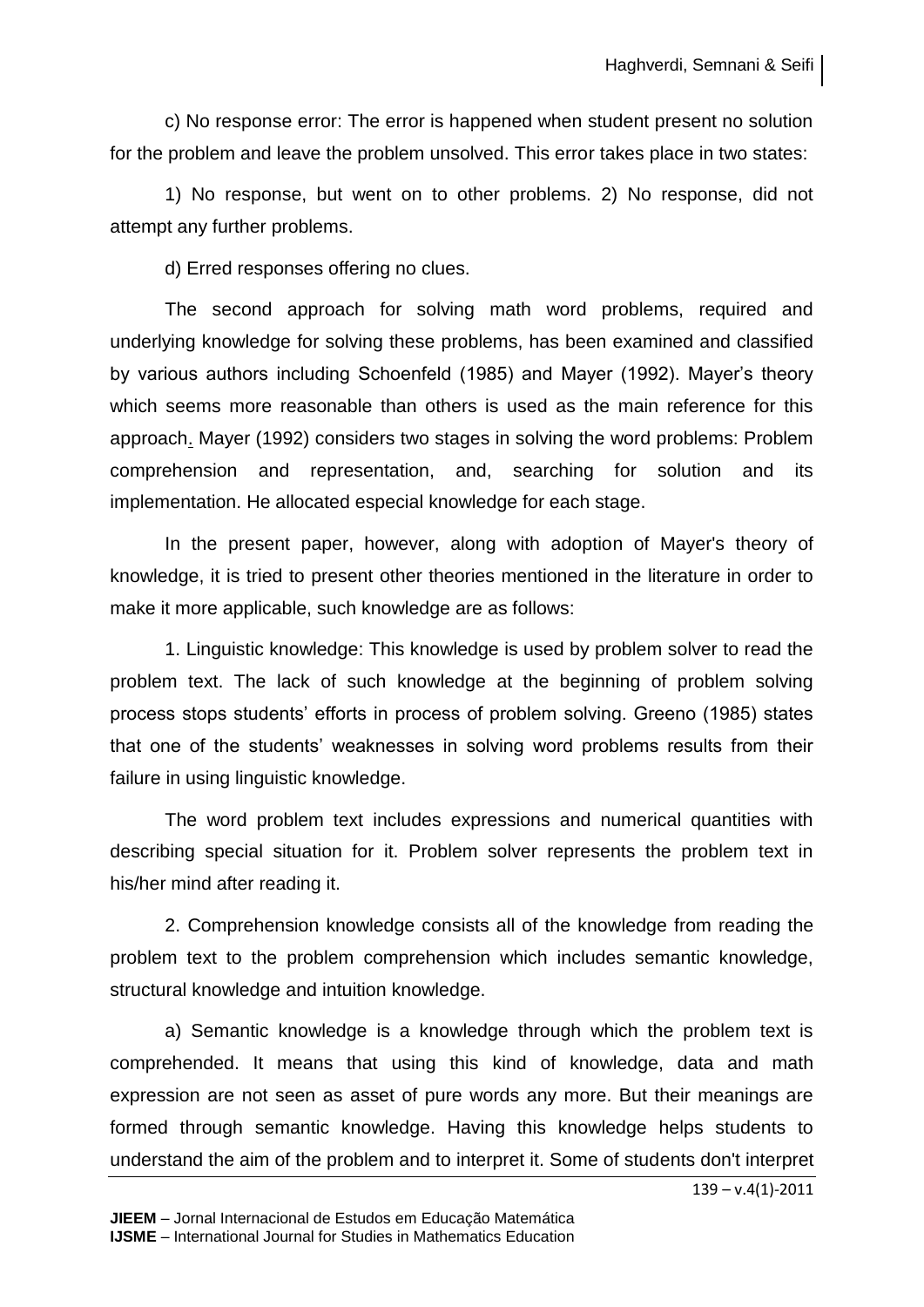c) No response error: The error is happened when student present no solution for the problem and leave the problem unsolved. This error takes place in two states:

1) No response, but went on to other problems. 2) No response, did not attempt any further problems.

d) Erred responses offering no clues.

The second approach for solving math word problems, required and underlying knowledge for solving these problems, has been examined and classified by various authors including Schoenfeld (1985) and Mayer (1992). Mayer's theory which seems more reasonable than others is used as the main reference for this approach. Mayer (1992) considers two stages in solving the word problems: Problem comprehension and representation, and, searching for solution and its implementation. He allocated especial knowledge for each stage.

In the present paper, however, along with adoption of Mayer's theory of knowledge, it is tried to present other theories mentioned in the literature in order to make it more applicable, such knowledge are as follows:

1. Linguistic knowledge: This knowledge is used by problem solver to read the problem text. The lack of such knowledge at the beginning of problem solving process stops students' efforts in process of problem solving. Greeno (1985) states that one of the students' weaknesses in solving word problems results from their failure in using linguistic knowledge.

The word problem text includes expressions and numerical quantities with describing special situation for it. Problem solver represents the problem text in his/her mind after reading it.

2. Comprehension knowledge consists all of the knowledge from reading the problem text to the problem comprehension which includes semantic knowledge, structural knowledge and intuition knowledge.

a) Semantic knowledge is a knowledge through which the problem text is comprehended. It means that using this kind of knowledge, data and math expression are not seen as asset of pure words any more. But their meanings are formed through semantic knowledge. Having this knowledge helps students to understand the aim of the problem and to interpret it. Some of students don't interpret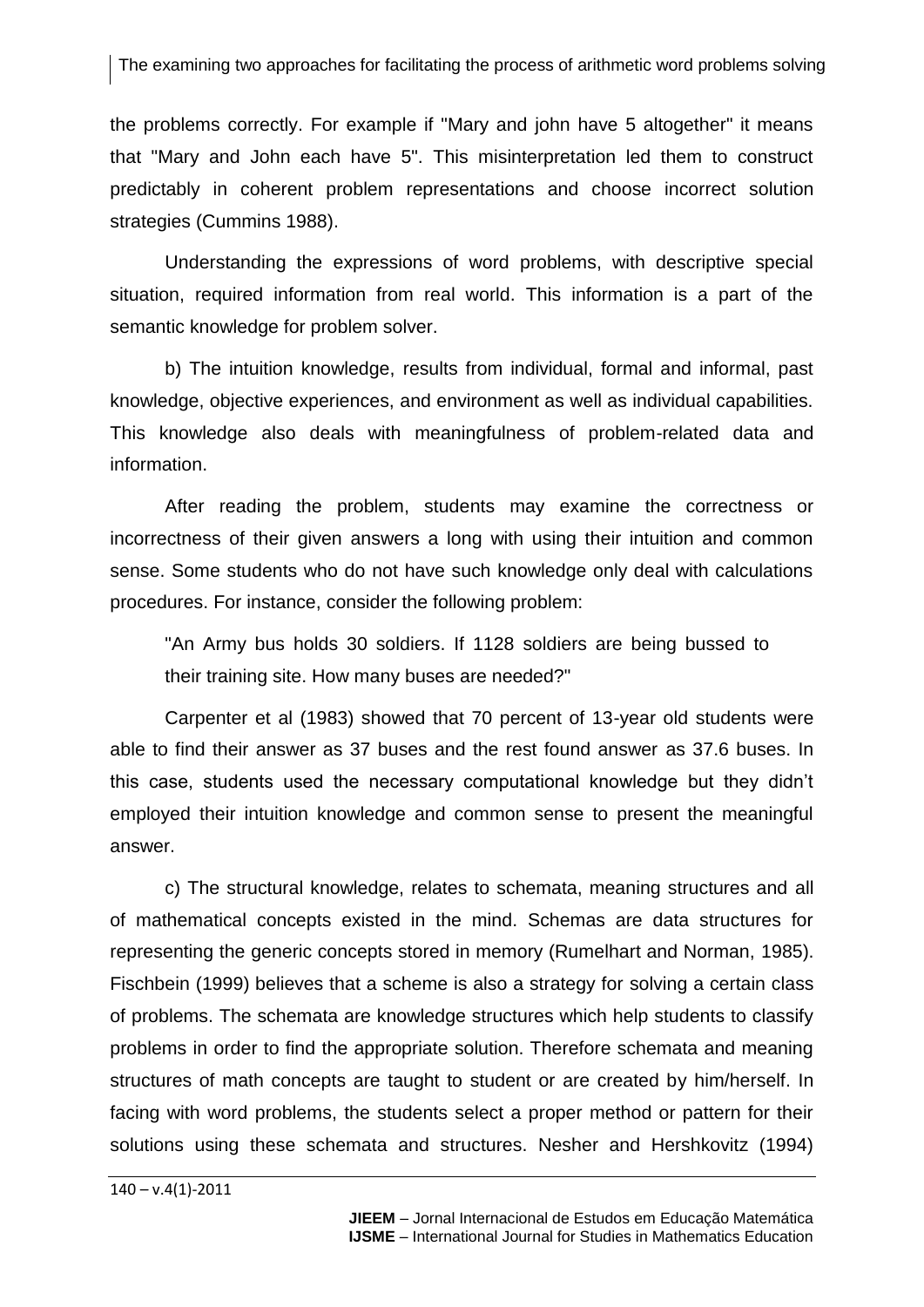the problems correctly. For example if "Mary and john have 5 altogether" it means that "Mary and John each have 5". This misinterpretation led them to construct predictably in coherent problem representations and choose incorrect solution strategies (Cummins 1988).

Understanding the expressions of word problems, with descriptive special situation, required information from real world. This information is a part of the semantic knowledge for problem solver.

b) The intuition knowledge, results from individual, formal and informal, past knowledge, objective experiences, and environment as well as individual capabilities. This knowledge also deals with meaningfulness of problem-related data and information.

After reading the problem, students may examine the correctness or incorrectness of their given answers a long with using their intuition and common sense. Some students who do not have such knowledge only deal with calculations procedures. For instance, consider the following problem:

"An Army bus holds 30 soldiers. If 1128 soldiers are being bussed to their training site. How many buses are needed?"

Carpenter et al (1983) showed that 70 percent of 13-year old students were able to find their answer as 37 buses and the rest found answer as 37.6 buses. In this case, students used the necessary computational knowledge but they didn't employed their intuition knowledge and common sense to present the meaningful answer.

c) The structural knowledge, relates to schemata, meaning structures and all of mathematical concepts existed in the mind. Schemas are data structures for representing the generic concepts stored in memory (Rumelhart and Norman, 1985). Fischbein (1999) believes that a scheme is also a strategy for solving a certain class of problems. The schemata are knowledge structures which help students to classify problems in order to find the appropriate solution. Therefore schemata and meaning structures of math concepts are taught to student or are created by him/herself. In facing with word problems, the students select a proper method or pattern for their solutions using these schemata and structures. Nesher and Hershkovitz (1994)

 $140 - v.4(1) - 2011$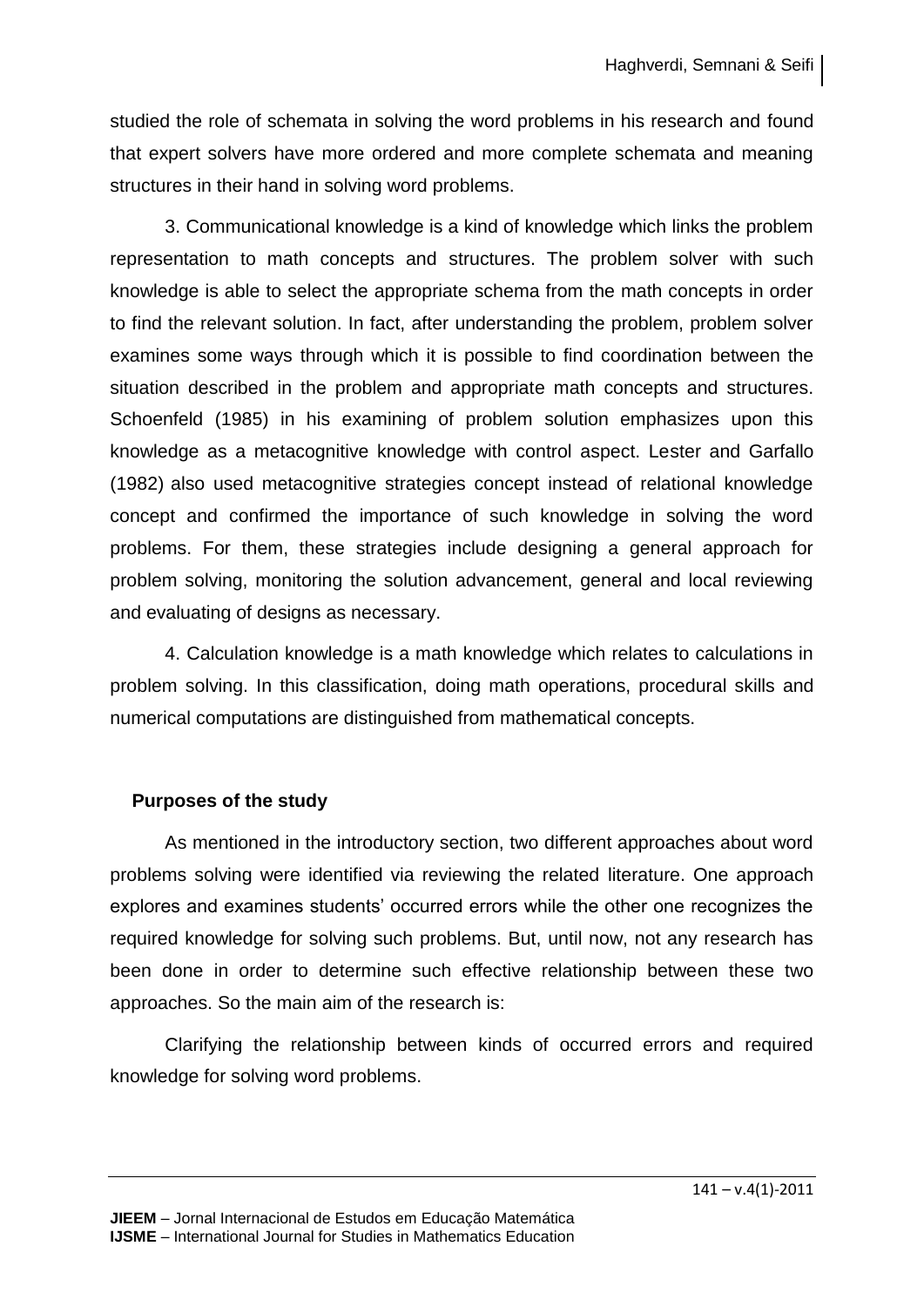studied the role of schemata in solving the word problems in his research and found that expert solvers have more ordered and more complete schemata and meaning structures in their hand in solving word problems.

3. Communicational knowledge is a kind of knowledge which links the problem representation to math concepts and structures. The problem solver with such knowledge is able to select the appropriate schema from the math concepts in order to find the relevant solution. In fact, after understanding the problem, problem solver examines some ways through which it is possible to find coordination between the situation described in the problem and appropriate math concepts and structures. Schoenfeld (1985) in his examining of problem solution emphasizes upon this knowledge as a metacognitive knowledge with control aspect. Lester and Garfallo (1982) also used metacognitive strategies concept instead of relational knowledge concept and confirmed the importance of such knowledge in solving the word problems. For them, these strategies include designing a general approach for problem solving, monitoring the solution advancement, general and local reviewing and evaluating of designs as necessary.

4. Calculation knowledge is a math knowledge which relates to calculations in problem solving. In this classification, doing math operations, procedural skills and numerical computations are distinguished from mathematical concepts.

## **Purposes of the study**

As mentioned in the introductory section, two different approaches about word problems solving were identified via reviewing the related literature. One approach explores and examines students' occurred errors while the other one recognizes the required knowledge for solving such problems. But, until now, not any research has been done in order to determine such effective relationship between these two approaches. So the main aim of the research is:

Clarifying the relationship between kinds of occurred errors and required knowledge for solving word problems.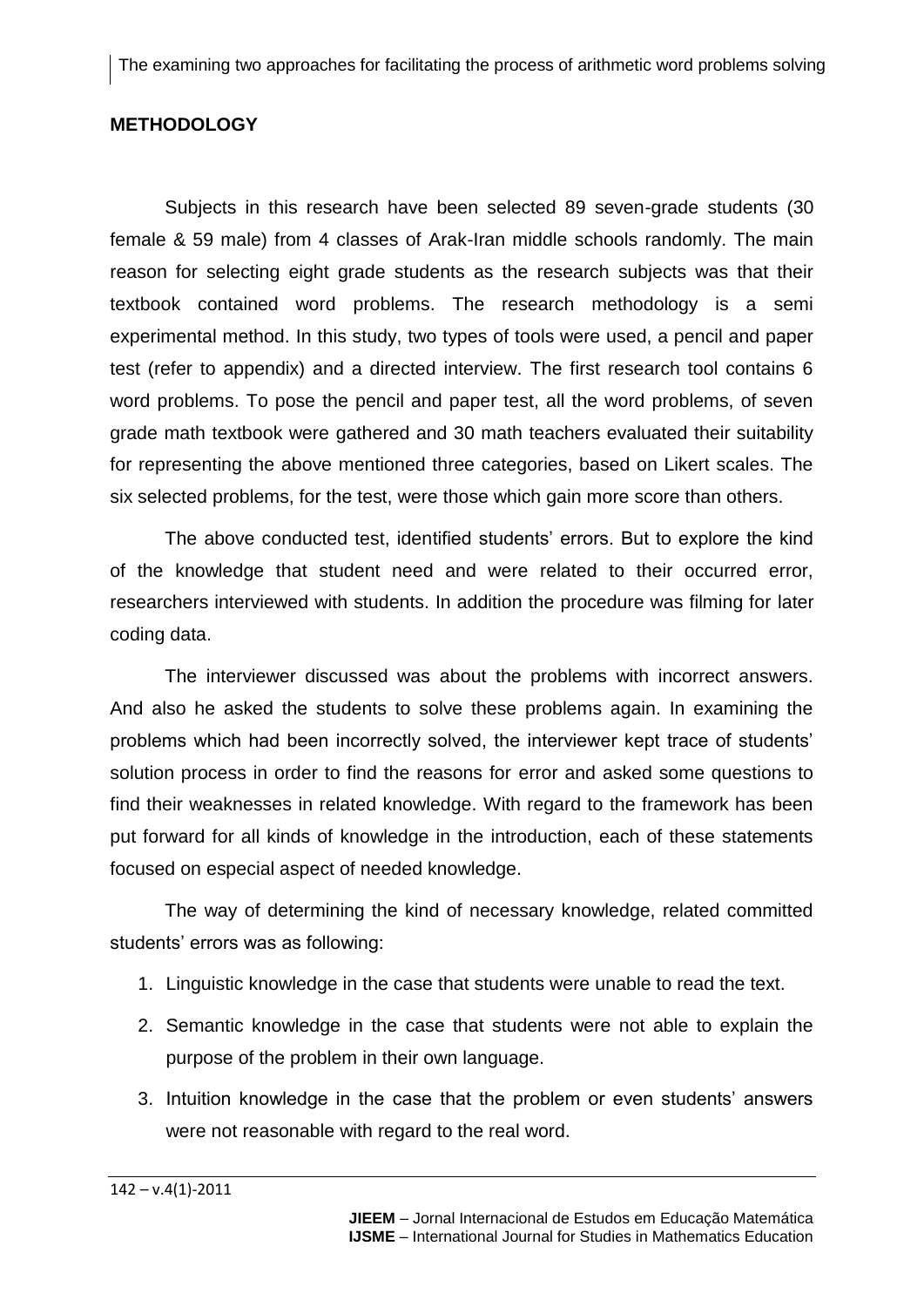### **METHODOLOGY**

Subjects in this research have been selected 89 seven-grade students (30 female & 59 male) from 4 classes of Arak-Iran middle schools randomly. The main reason for selecting eight grade students as the research subjects was that their textbook contained word problems. The research methodology is a semi experimental method. In this study, two types of tools were used, a pencil and paper test (refer to appendix) and a directed interview. The first research tool contains 6 word problems. To pose the pencil and paper test, all the word problems, of seven grade math textbook were gathered and 30 math teachers evaluated their suitability for representing the above mentioned three categories, based on Likert scales. The six selected problems, for the test, were those which gain more score than others.

The above conducted test, identified students' errors. But to explore the kind of the knowledge that student need and were related to their occurred error, researchers interviewed with students. In addition the procedure was filming for later coding data.

The interviewer discussed was about the problems with incorrect answers. And also he asked the students to solve these problems again. In examining the problems which had been incorrectly solved, the interviewer kept trace of students' solution process in order to find the reasons for error and asked some questions to find their weaknesses in related knowledge. With regard to the framework has been put forward for all kinds of knowledge in the introduction, each of these statements focused on especial aspect of needed knowledge.

The way of determining the kind of necessary knowledge, related committed students' errors was as following:

- 1. Linguistic knowledge in the case that students were unable to read the text.
- 2. Semantic knowledge in the case that students were not able to explain the purpose of the problem in their own language.
- 3. Intuition knowledge in the case that the problem or even students' answers were not reasonable with regard to the real word.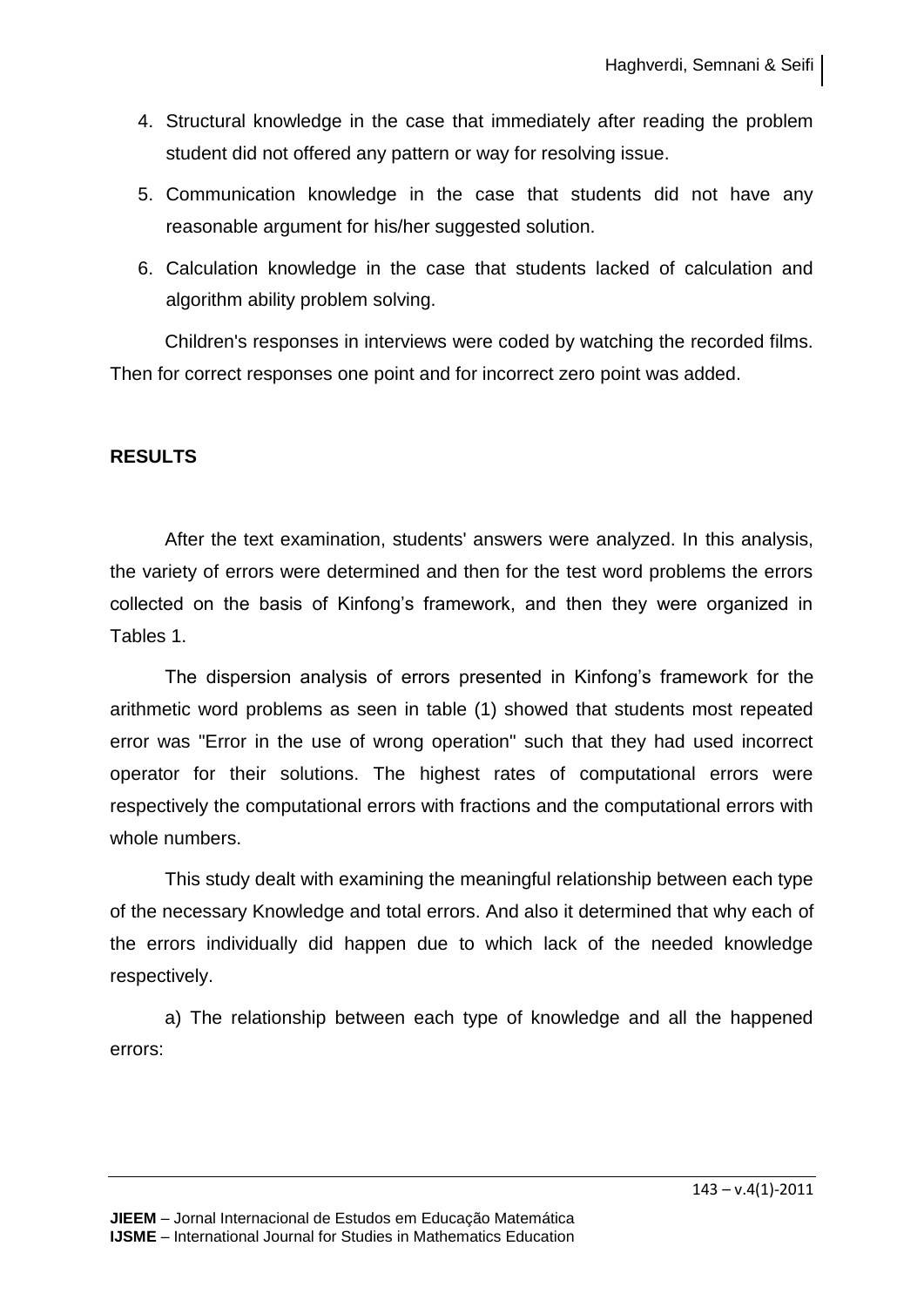- 4. Structural knowledge in the case that immediately after reading the problem student did not offered any pattern or way for resolving issue.
- 5. Communication knowledge in the case that students did not have any reasonable argument for his/her suggested solution.
- 6. Calculation knowledge in the case that students lacked of calculation and algorithm ability problem solving.

Children's responses in interviews were coded by watching the recorded films. Then for correct responses one point and for incorrect zero point was added.

## **RESULTS**

After the text examination, students' answers were analyzed. In this analysis, the variety of errors were determined and then for the test word problems the errors collected on the basis of Kinfong's framework, and then they were organized in Tables 1.

The dispersion analysis of errors presented in Kinfong's framework for the arithmetic word problems as seen in table (1) showed that students most repeated error was "Error in the use of wrong operation" such that they had used incorrect operator for their solutions. The highest rates of computational errors were respectively the computational errors with fractions and the computational errors with whole numbers.

This study dealt with examining the meaningful relationship between each type of the necessary Knowledge and total errors. And also it determined that why each of the errors individually did happen due to which lack of the needed knowledge respectively.

a) The relationship between each type of knowledge and all the happened errors: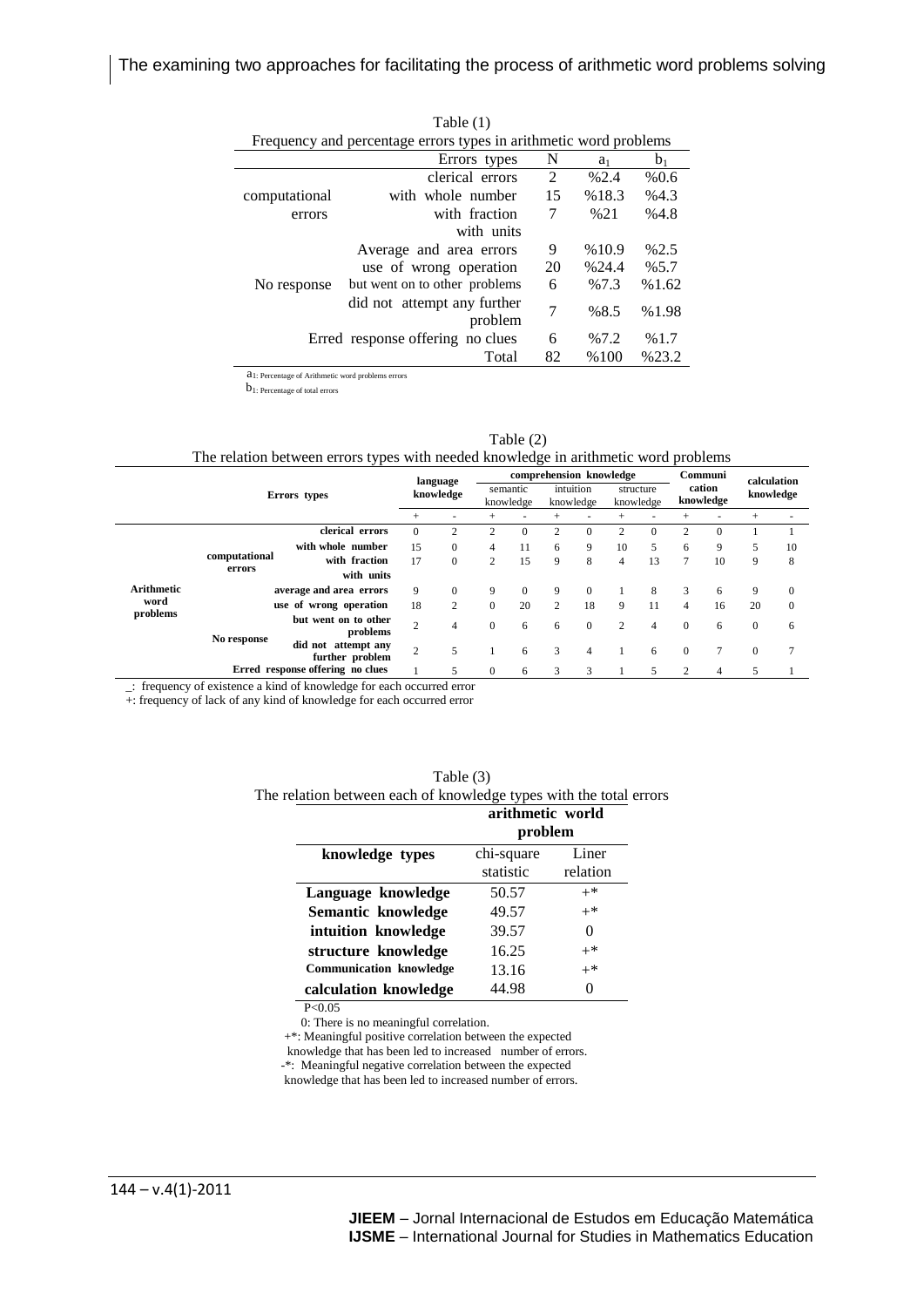| Frequency and percentage errors types in arithmetic word problems |                                        |    |       |                |  |  |  |
|-------------------------------------------------------------------|----------------------------------------|----|-------|----------------|--|--|--|
|                                                                   | Errors types                           | N  | $a_1$ | b <sub>1</sub> |  |  |  |
|                                                                   | clerical errors                        | 2  | %2.4  | %0.6           |  |  |  |
| computational                                                     | with whole number                      | 15 | %18.3 | %4.3           |  |  |  |
| errors                                                            | with fraction                          | 7  | %21   | %4.8           |  |  |  |
|                                                                   | with units                             |    |       |                |  |  |  |
|                                                                   | Average and area errors                | 9  | %10.9 | %2.5           |  |  |  |
|                                                                   | use of wrong operation                 | 20 | %24.4 | % 5.7          |  |  |  |
| No response                                                       | but went on to other problems          | 6  | %7.3  | %1.62          |  |  |  |
|                                                                   | did not attempt any further<br>problem | 7  | %8.5  | %1.98          |  |  |  |
|                                                                   | Erred response offering no clues       | 6  | %7.2  | %1.7           |  |  |  |
|                                                                   | Total                                  | 82 | %100  | %23.2          |  |  |  |

Table (1)

 $\mathbf{a}_{1:}$  Percentage of Arithmetic word problems errors

 $\mathbf{b}_{1:}$  Percentage of total errors

| Table $(2)$                                                                         |  |
|-------------------------------------------------------------------------------------|--|
| The relation between errors types with needed knowledge in arithmetic word problems |  |

|                                                                                 |              | ັ                                      |                       |                | comprehension knowledge |                |                        |          |                        | Communi      |                     | calculation |           |          |
|---------------------------------------------------------------------------------|--------------|----------------------------------------|-----------------------|----------------|-------------------------|----------------|------------------------|----------|------------------------|--------------|---------------------|-------------|-----------|----------|
|                                                                                 | Errors types |                                        | language<br>knowledge |                | semantic<br>knowledge   |                | intuition<br>knowledge |          | structure<br>knowledge |              | cation<br>knowledge |             | knowledge |          |
|                                                                                 |              | $^{+}$                                 |                       | $^{+}$         |                         | $\overline{+}$ |                        | $^{+}$   |                        | $^{+}$       |                     | $\pm$       |           |          |
| computational<br>errors<br><b>Arithmetic</b><br>word<br>problems<br>No response |              | clerical errors                        | $\mathbf{0}$          | $\overline{c}$ | 2                       | $\mathbf{0}$   | $\overline{c}$         | $\Omega$ | $\overline{c}$         | $\mathbf{0}$ | $\overline{c}$      | $\Omega$    |           |          |
|                                                                                 |              | with whole number                      | 15                    | $\Omega$       | 4                       | 11             | 6                      | 9        | 10                     | 5            | 6                   | 9           | 5         | 10       |
|                                                                                 |              | with fraction                          | 17                    | $\mathbf{0}$   | 2                       | 15             | 9                      | 8        | 4                      | 13           | 7                   | 10          | 9         | 8        |
|                                                                                 |              | with units                             |                       |                |                         |                |                        |          |                        |              |                     |             |           |          |
|                                                                                 |              | average and area errors                | 9                     | $\mathbf{0}$   | 9                       | $\Omega$       | 9                      | $\Omega$ |                        | 8            | 3                   | 6           | 9         | $\Omega$ |
|                                                                                 |              | use of wrong operation                 | 18                    | $\mathfrak{2}$ | $\mathbf{0}$            | 20             | $\overline{2}$         | 18       | 9                      | 11           | $\overline{4}$      | 16          | 20        | $\Omega$ |
|                                                                                 |              | but went on to other<br>problems       | $\overline{2}$        | 4              | $\mathbf{0}$            | 6              | 6                      | $\Omega$ | 2                      | 4            | $\Omega$            | 6           | $\Omega$  | 6        |
|                                                                                 |              | did not attempt any<br>further problem | $\overline{2}$        | 5              |                         | 6              | 3                      | 4        |                        | 6            | $\Omega$            |             | $\Omega$  |          |
|                                                                                 |              | Erred response offering no clues       |                       | 5              | $\mathbf{0}$            | 6              | 3                      | 3        |                        | 5            | $\mathcal{D}$       | 4           | 5         |          |

\_: frequency of existence a kind of knowledge for each occurred error

+: frequency of lack of any kind of knowledge for each occurred error

|                                                                    |  | Table (3) |  |  |  |
|--------------------------------------------------------------------|--|-----------|--|--|--|
| The relation between each of knowledge types with the total errors |  |           |  |  |  |
|                                                                    |  |           |  |  |  |

|                                | arithmetic world<br>problem |                   |  |  |  |
|--------------------------------|-----------------------------|-------------------|--|--|--|
| knowledge types                | chi-square<br>statistic     | Liner<br>relation |  |  |  |
| Language knowledge             | 50.57                       | $+^*$             |  |  |  |
| Semantic knowledge             | 49.57                       | $+^*$             |  |  |  |
| intuition knowledge            | 39.57                       | 0                 |  |  |  |
| structure knowledge            | 16.25                       | $+^*$             |  |  |  |
| <b>Communication knowledge</b> | 13.16                       | $+^*$             |  |  |  |
| calculation knowledge          | 44.98                       | 0                 |  |  |  |

P<0.05

0: There is no meaningful correlation.

+\*: Meaningful positive correlation between the expected

knowledge that has been led to increased number of errors.

-\*: Meaningful negative correlation between the expected

knowledge that has been led to increased number of errors.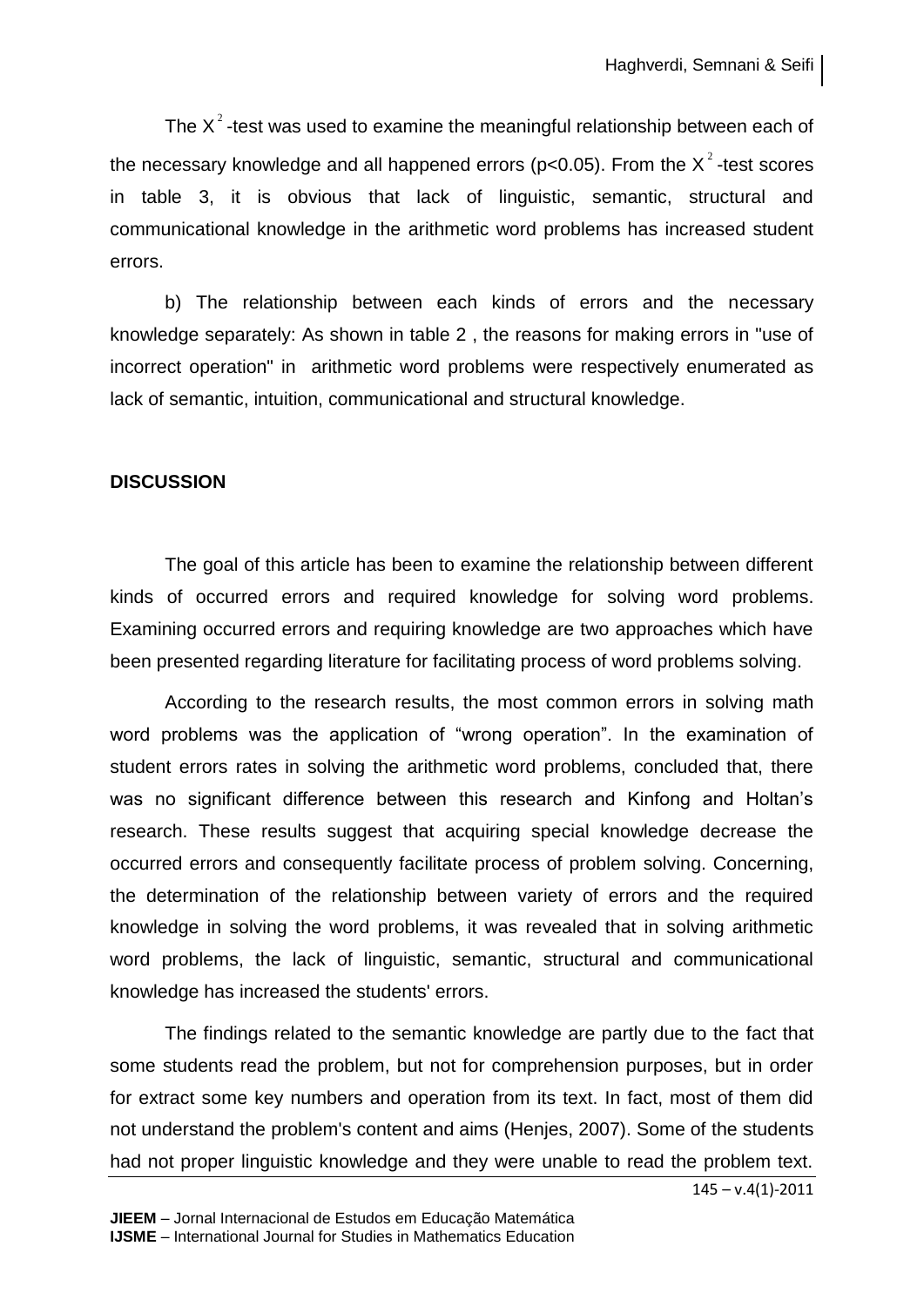The  $X^2$ -test was used to examine the meaningful relationship between each of the necessary knowledge and all happened errors (p<0.05). From the X<sup>2</sup>-test scores in table 3, it is obvious that lack of linguistic, semantic, structural and communicational knowledge in the arithmetic word problems has increased student errors.

b) The relationship between each kinds of errors and the necessary knowledge separately: As shown in table 2 , the reasons for making errors in "use of incorrect operation" in arithmetic word problems were respectively enumerated as lack of semantic, intuition, communicational and structural knowledge.

#### **DISCUSSION**

The goal of this article has been to examine the relationship between different kinds of occurred errors and required knowledge for solving word problems. Examining occurred errors and requiring knowledge are two approaches which have been presented regarding literature for facilitating process of word problems solving.

According to the research results, the most common errors in solving math word problems was the application of "wrong operation". In the examination of student errors rates in solving the arithmetic word problems, concluded that, there was no significant difference between this research and Kinfong and Holtan's research. These results suggest that acquiring special knowledge decrease the occurred errors and consequently facilitate process of problem solving. Concerning, the determination of the relationship between variety of errors and the required knowledge in solving the word problems, it was revealed that in solving arithmetic word problems, the lack of linguistic, semantic, structural and communicational knowledge has increased the students' errors.

The findings related to the semantic knowledge are partly due to the fact that some students read the problem, but not for comprehension purposes, but in order for extract some key numbers and operation from its text. In fact, most of them did not understand the problem's content and aims (Henjes, 2007). Some of the students had not proper linguistic knowledge and they were unable to read the problem text.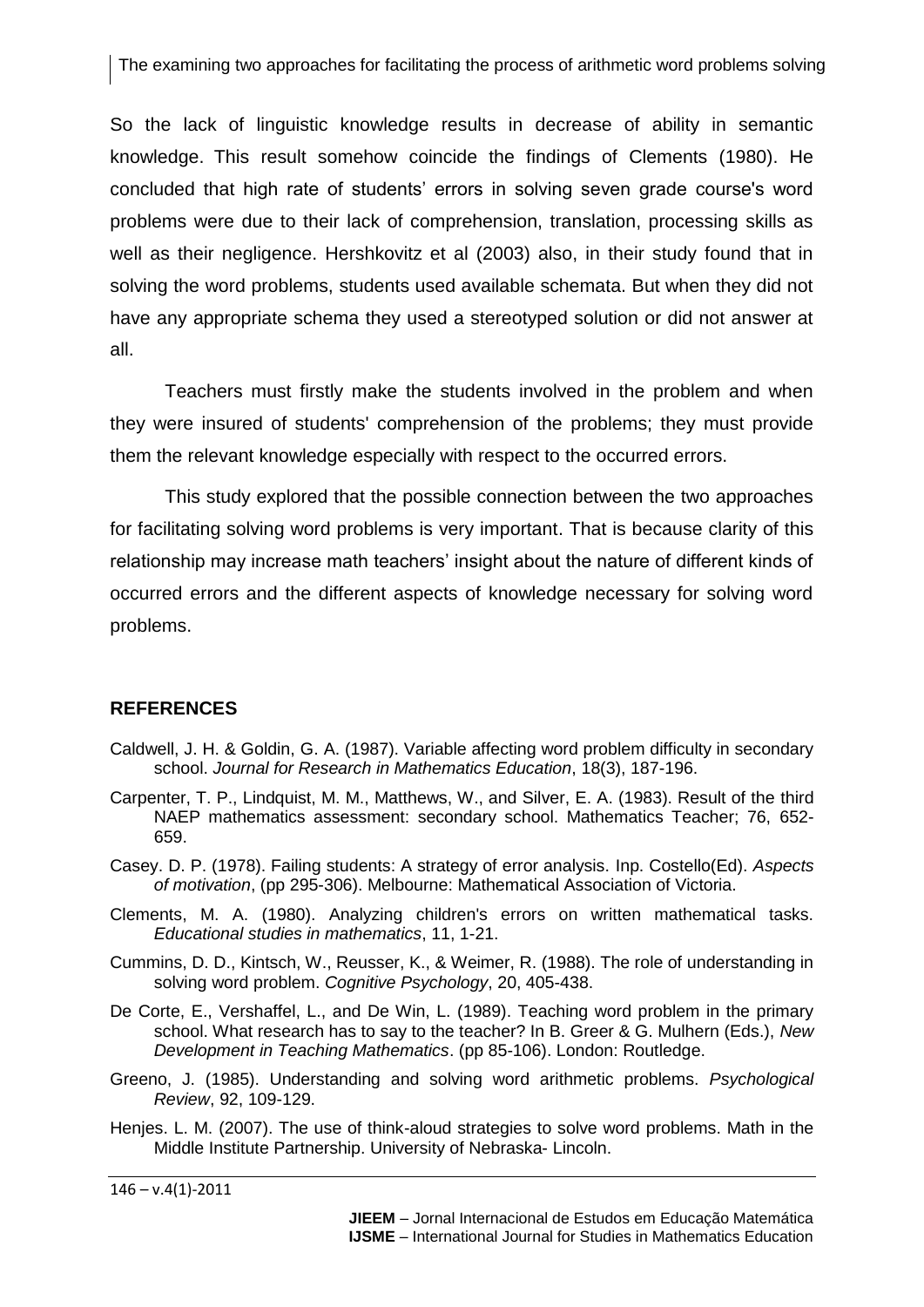So the lack of linguistic knowledge results in decrease of ability in semantic knowledge. This result somehow coincide the findings of Clements (1980). He concluded that high rate of students' errors in solving seven grade course's word problems were due to their lack of comprehension, translation, processing skills as well as their negligence. Hershkovitz et al (2003) also, in their study found that in solving the word problems, students used available schemata. But when they did not have any appropriate schema they used a stereotyped solution or did not answer at all.

Teachers must firstly make the students involved in the problem and when they were insured of students' comprehension of the problems; they must provide them the relevant knowledge especially with respect to the occurred errors.

This study explored that the possible connection between the two approaches for facilitating solving word problems is very important. That is because clarity of this relationship may increase math teachers' insight about the nature of different kinds of occurred errors and the different aspects of knowledge necessary for solving word problems.

#### **REFERENCES**

- Caldwell, J. H. & Goldin, G. A. (1987). Variable affecting word problem difficulty in secondary school. *Journal for Research in Mathematics Education*, 18(3), 187-196.
- Carpenter, T. P., Lindquist, M. M., Matthews, W., and Silver, E. A. (1983). Result of the third NAEP mathematics assessment: secondary school. Mathematics Teacher; 76, 652- 659.
- Casey. D. P. (1978). Failing students: A strategy of error analysis. Inp. Costello(Ed). *Aspects of motivation*, (pp 295-306). Melbourne: Mathematical Association of Victoria.
- Clements, M. A. (1980). Analyzing children's errors on written mathematical tasks. *Educational studies in mathematics*, 11, 1-21.
- Cummins, D. D., Kintsch, W., Reusser, K., & Weimer, R. (1988). The role of understanding in solving word problem. *Cognitive Psychology*, 20, 405-438.
- De Corte, E., Vershaffel, L., and De Win, L. (1989). Teaching word problem in the primary school. What research has to say to the teacher? In B. Greer & G. Mulhern (Eds.), *New Development in Teaching Mathematics*. (pp 85-106). London: Routledge.
- Greeno, J. (1985). Understanding and solving word arithmetic problems. *Psychological Review*, 92, 109-129.
- Henjes. L. M. (2007). The use of think-aloud strategies to solve word problems. Math in the Middle Institute Partnership. University of Nebraska- Lincoln.

 $146 - v.4(1) - 2011$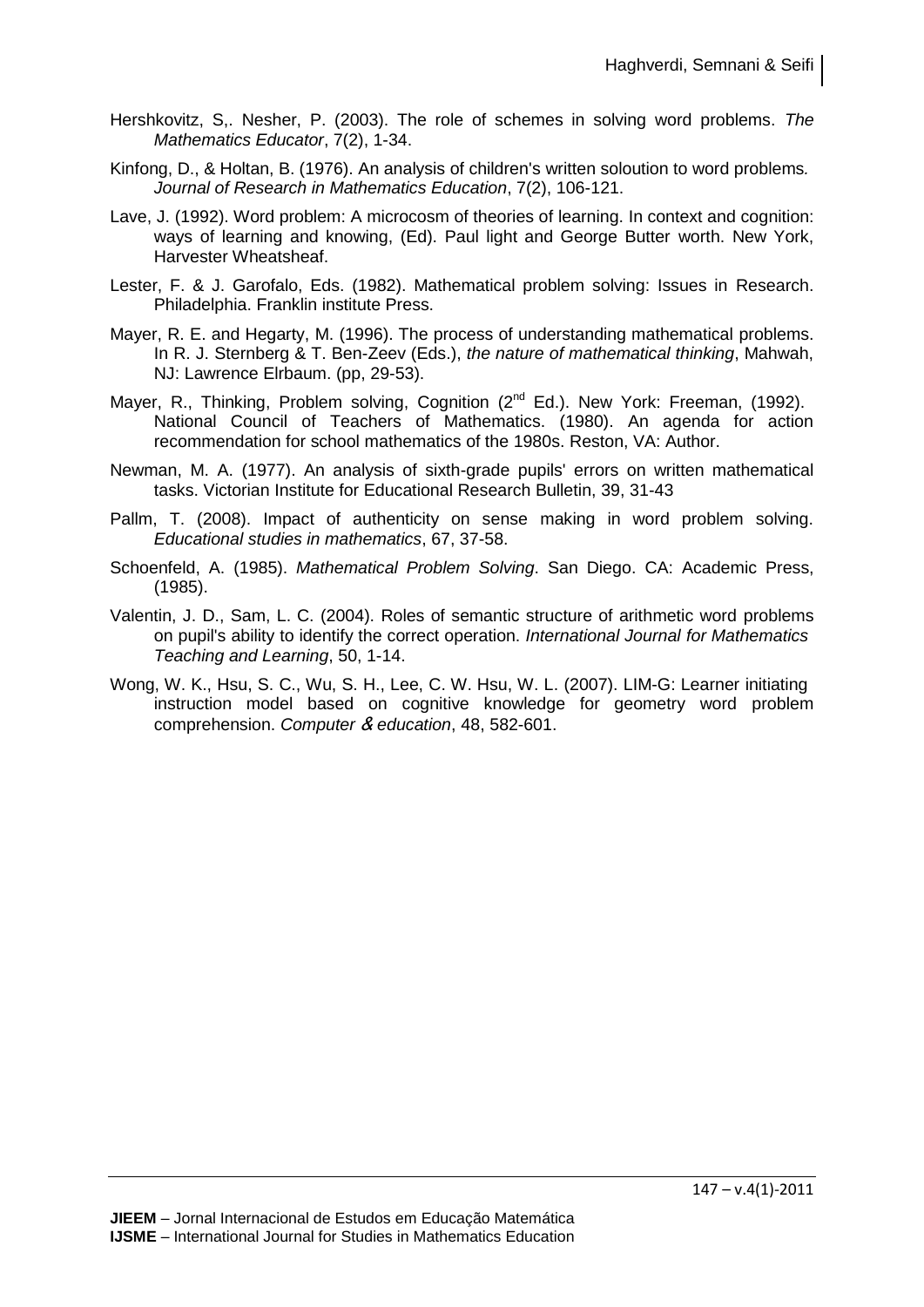- Hershkovitz, S,. Nesher, P. (2003). The role of schemes in solving word problems. *The Mathematics Educator*, 7(2), 1-34.
- Kinfong, D., & Holtan, B. (1976). An analysis of children's written soloution to word problems*. Journal of Research in Mathematics Education*, 7(2), 106-121.
- Lave, J. (1992). Word problem: A microcosm of theories of learning. In context and cognition: ways of learning and knowing, (Ed). Paul light and George Butter worth. New York, Harvester Wheatsheaf.
- Lester, F. & J. Garofalo, Eds. (1982). Mathematical problem solving: Issues in Research. Philadelphia. Franklin institute Press.
- Mayer, R. E. and Hegarty, M. (1996). The process of understanding mathematical problems. In R. J. Sternberg & T. Ben-Zeev (Eds.), *the nature of mathematical thinking*, Mahwah, NJ: Lawrence Elrbaum. (pp, 29-53).
- Mayer, R., Thinking, Problem solving, Cognition (2<sup>nd</sup> Ed.). New York: Freeman, (1992). National Council of Teachers of Mathematics. (1980). An agenda for action recommendation for school mathematics of the 1980s. Reston, VA: Author.
- Newman, M. A. (1977). An analysis of sixth-grade pupils' errors on written mathematical tasks. Victorian Institute for Educational Research Bulletin, 39, 31-43
- Pallm, T. (2008). Impact of authenticity on sense making in word problem solving. *Educational studies in mathematics*, 67, 37-58.
- Schoenfeld, A. (1985). *Mathematical Problem Solving*. San Diego. CA: Academic Press, (1985).
- Valentin, J. D., Sam, L. C. (2004). Roles of semantic structure of arithmetic word problems on pupil's ability to identify the correct operation. *International Journal for Mathematics Teaching and Learning*, 50, 1-14.
- Wong, W. K., Hsu, S. C., Wu, S. H., Lee, C. W. Hsu, W. L. (2007). LIM-G: Learner initiating instruction model based on cognitive knowledge for geometry word problem comprehension. *Computer* & *education*, 48, 582-601.